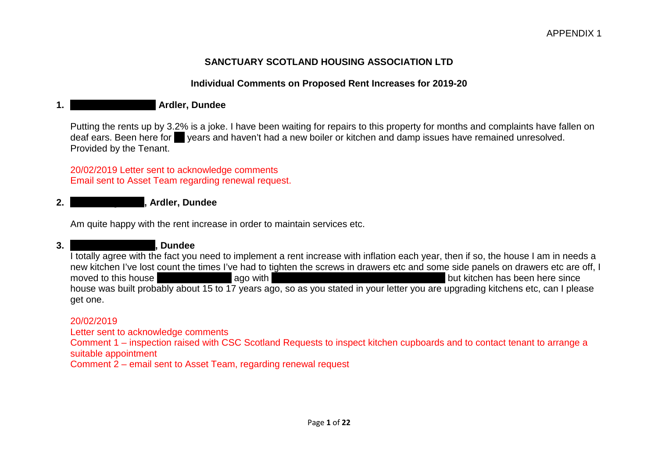# **SANCTUARY SCOTLAND HOUSING ASSOCIATION LTD**

# **Individual Comments on Proposed Rent Increases for 2019-20**

# **1. Hazlehead Avenue, Ardler, Dundee**

Putting the rents up by 3.2% is a joke. I have been waiting for repairs to this property for months and complaints have fallen on deaf ears. Been here for vears and haven't had a new boiler or kitchen and damp issues have remained unresolved. Provided by the Tenant.

20/02/2019 Letter sent to acknowledge comments Email sent to Asset Team regarding renewal request.

### **2. Scotscraig Road, Ardler, Dundee**

Am quite happy with the rent increase in order to maintain services etc.

**3. Wentworth Avenue, Dundee** 

I totally agree with the fact you need to implement a rent increase with inflation each year, then if so, the house I am in needs a new kitchen I've lost count the times I've had to tighten the screws in drawers etc and some side panels on drawers etc are off, I moved to this house **2 and a half years ago with my wife who saddly half years ago with my wife who saddly has now passed and passed and passed and passed away, but kitchen has been here since** house was built probably about 15 to 17 years ago, so as you stated in your letter you are upgrading kitchens etc, can I please get one.

#### 20/02/2019

Letter sent to acknowledge comments

Comment 1 – inspection raised with CSC Scotland Requests to inspect kitchen cupboards and to contact tenant to arrange a suitable appointment

Comment 2 – email sent to Asset Team, regarding renewal request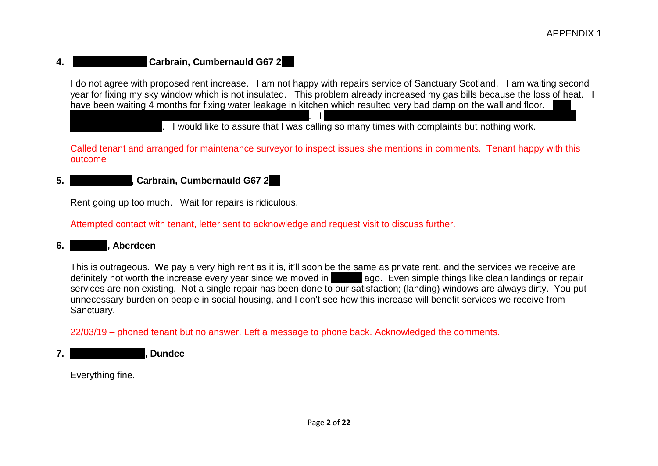# **4. Carbrain, Cumbernauld G67 2**

I do not agree with proposed rent increase. I am not happy with repairs service of Sanctuary Scotland. I am waiting second year for fixing my sky window which is not insulated. This problem already increased my gas bills because the loss of heat. I have been waiting 4 months for fixing water leakage in kitchen which resulted very bad damp on the wall and floor.

. I would like to assure that I was calling so many times with complaints but nothing work.

Called tenant and arranged for maintenance surveyor to inspect issues she mentions in comments. Tenant happy with this outcome

suffering anxiety and depression because of this situation. I have 2 children and I am concerned about their health in this

# **5. Torage Road, Carbrain, Cumbernauld G67 2**

Rent going up too much. Wait for repairs is ridiculous.

Attempted contact with tenant, letter sent to acknowledge and request visit to discuss further.

#### **6. Donald Aberdeen**

This is outrageous. We pay a very high rent as it is, it'll soon be the same as private rent, and the services we receive are definitely not worth the increase every year since we moved in **5 ago.** Even simple things like clean landings or repair services are non existing. Not a single repair has been done to our satisfaction; (landing) windows are always dirty. You put unnecessary burden on people in social housing, and I don't see how this increase will benefit services we receive from Sanctuary.

22/03/19 – phoned tenant but no answer. Left a message to phone back. Acknowledged the comments.

**7. Gleneagles Lands C** 

Everything fine.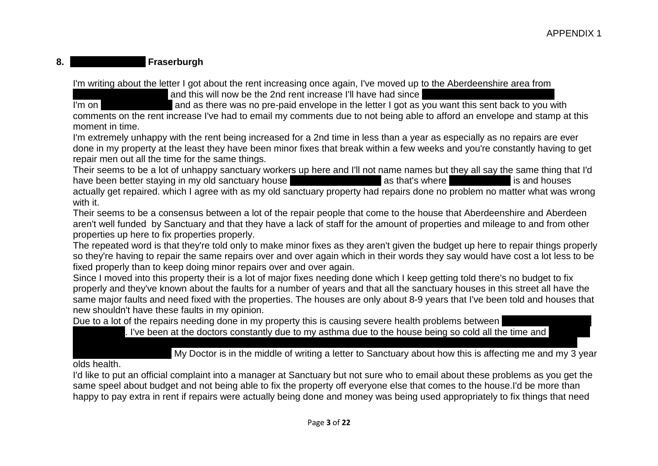# 8. **Courte Courts Countries Exercise Fraserburgh**

I'm writing about the letter I got about the rent increasing once again, I've moved up to the Aberdeenshire area from

and this will now be the 2nd rent increase I'll have had since

I'm on disability and as there was no pre-paid envelope in the letter I got as you want this sent back to you with

comments on the rent increase I've had to email my comments due to not being able to afford an envelope and stamp at this moment in time.

I'm extremely unhappy with the rent being increased for a 2nd time in less than a year as especially as no repairs are ever done in my property at the least they have been minor fixes that break within a few weeks and you're constantly having to get repair men out all the time for the same things.

Their seems to be a lot of unhappy sanctuary workers up here and I'll not name names but they all say the same thing that I'd have been better staving in my old sanctuary house have been better staying in my old sanctuary house down in Cumbernauld as that's where the head of is and houses actually get repaired. which I agree with as my old sanctuary property had repairs done no problem no matter what was wrong with it.

Their seems to be a consensus between a lot of the repair people that come to the house that Aberdeenshire and Aberdeen aren't well funded by Sanctuary and that they have a lack of staff for the amount of properties and mileage to and from other properties up here to fix properties properly.

The repeated word is that they're told only to make minor fixes as they aren't given the budget up here to repair things properly so they're having to repair the same repairs over and over again which in their words they say would have cost a lot less to be fixed properly than to keep doing minor repairs over and over again.

Since I moved into this property their is a lot of major fixes needing done which I keep getting told there's no budget to fix properly and they've known about the faults for a number of years and that all the sanctuary houses in this street all have the same major faults and need fixed with the properties. The houses are only about 8-9 years that I've been told and houses that new shouldn't have these faults in my opinion.

Due to a lot of the repairs needing done in my property this is causing severe health problems between

. I've been at the doctors constantly due to my asthma due to the house being so cold all the time and

old has been in and out of hospital and taken to A & E several times due to her breathing problems and has recently been My Doctor is in the middle of writing a letter to Sanctuary about how this is affecting me and my 3 year

olds health.

I'd like to put an official complaint into a manager at Sanctuary but not sure who to email about these problems as you get the same speel about budget and not being able to fix the property off everyone else that comes to the house.I'd be more than happy to pay extra in rent if repairs were actually being done and money was being used appropriately to fix things that need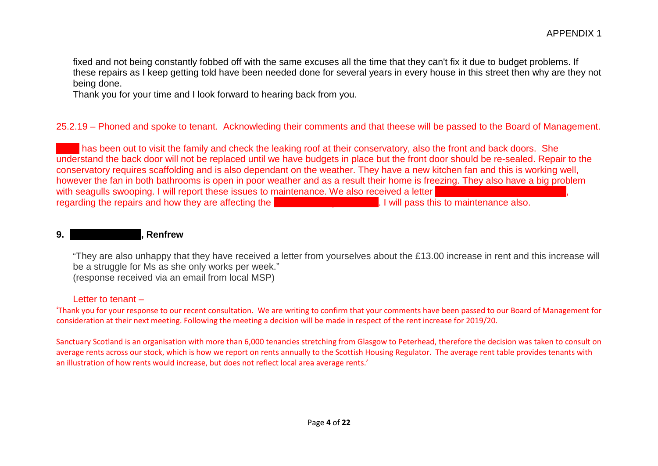fixed and not being constantly fobbed off with the same excuses all the time that they can't fix it due to budget problems. If these repairs as I keep getting told have been needed done for several years in every house in this street then why are they not being done.

Thank you for your time and I look forward to hearing back from you.

# 25.2.19 – Phoned and spoke to tenant. Acknowleding their comments and that theese will be passed to the Board of Management.

has been out to visit the family and check the leaking roof at their conservatory, also the front and back doors. She understand the back door will not be replaced until we have budgets in place but the front door should be re-sealed. Repair to the conservatory requires scaffolding and is also dependant on the weather. They have a new kitchen fan and this is working well, however the fan in both bathrooms is open in poor weather and as a result their home is freezing. They also have a big problem with seagulls swooping. I will report these issues to maintenance. We also received a letter **from the tenantis Social Worker, in the tenantis Social Montenanty Rom the tenantis Social Montenance alsocial Montenance alsoci** regarding the repairs and how they are affecting the **health of family members.** I will pass the family members. I will pass the maintenance also. I will pass the maintenance also. I will pass the maintenance also. I will

#### **9. Andrew Avenue Avenue , Renfrew**

"They are also unhappy that they have received a letter from yourselves about the £13.00 increase in rent and this increase will be a struggle for Ms as she only works per week." (response received via an email from local MSP)

#### Letter to tenant –

'Thank you for your response to our recent consultation. We are writing to confirm that your comments have been passed to our Board of Management for consideration at their next meeting. Following the meeting a decision will be made in respect of the rent increase for 2019/20.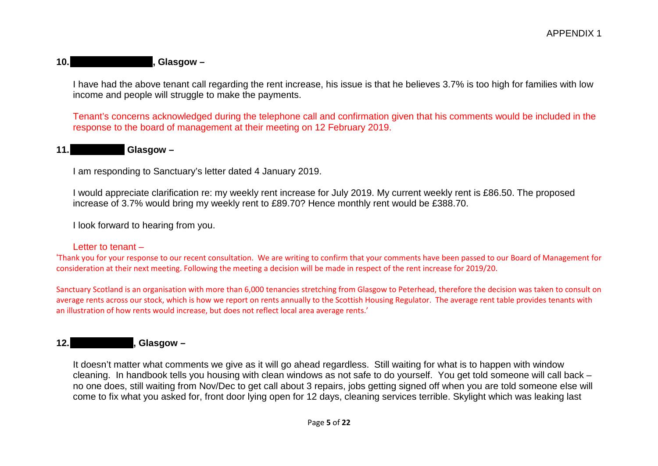#### **10. 10. 10. 10. 10. 10. 10. 10. 10. 10. 10. 10. 10. 10. 10. 10. 10. 10. 10. 10. 10. 10. 10. 10. 10. 10. 10. 10. 10. 10. 10. 10. 10. 10. 10. 10. 10.**

I have had the above tenant call regarding the rent increase, his issue is that he believes 3.7% is too high for families with low income and people will struggle to make the payments.

Tenant's concerns acknowledged during the telephone call and confirmation given that his comments would be included in the response to the board of management at their meeting on 12 February 2019.

#### 11. **Clasgow –**

I am responding to Sanctuary's letter dated 4 January 2019.

I would appreciate clarification re: my weekly rent increase for July 2019. My current weekly rent is £86.50. The proposed increase of 3.7% would bring my weekly rent to £89.70? Hence monthly rent would be £388.70.

I look forward to hearing from you.

#### Letter to tenant –

'Thank you for your response to our recent consultation. We are writing to confirm that your comments have been passed to our Board of Management for consideration at their next meeting. Following the meeting a decision will be made in respect of the rent increase for 2019/20.

Sanctuary Scotland is an organisation with more than 6,000 tenancies stretching from Glasgow to Peterhead, therefore the decision was taken to consult on average rents across our stock, which is how we report on rents annually to the Scottish Housing Regulator. The average rent table provides tenants with an illustration of how rents would increase, but does not reflect local area average rents.'

# **12. 12. 12. 12. 12. 12. 12. 12. 12. 12. 12. 12. 12. 12. 12. 12. 12. 12. 12. 12. 12. 12. 12. 12. 12. 12. 12. 12. 12. 12. 12. 12. 12. 12. 12. 12. 12.**

It doesn't matter what comments we give as it will go ahead regardless. Still waiting for what is to happen with window cleaning. In handbook tells you housing with clean windows as not safe to do yourself. You get told someone will call back – no one does, still waiting from Nov/Dec to get call about 3 repairs, jobs getting signed off when you are told someone else will come to fix what you asked for, front door lying open for 12 days, cleaning services terrible. Skylight which was leaking last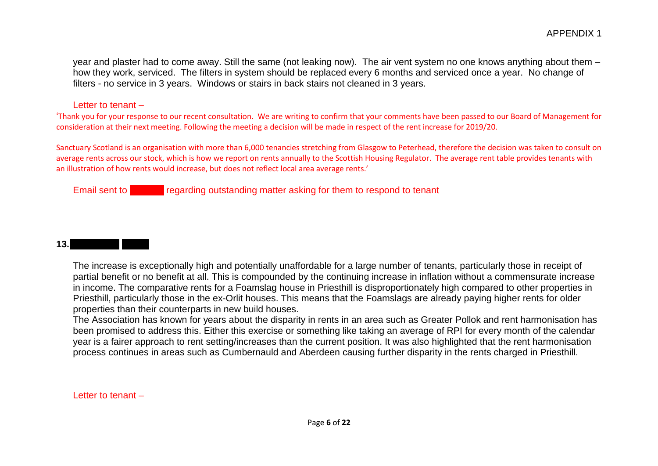year and plaster had to come away. Still the same (not leaking now). The air vent system no one knows anything about them – how they work, serviced. The filters in system should be replaced every 6 months and serviced once a year. No change of filters - no service in 3 years. Windows or stairs in back stairs not cleaned in 3 years.

#### Letter to tenant –

'Thank you for your response to our recent consultation. We are writing to confirm that your comments have been passed to our Board of Management for consideration at their next meeting. Following the meeting a decision will be made in respect of the rent increase for 2019/20.

Sanctuary Scotland is an organisation with more than 6,000 tenancies stretching from Glasgow to Peterhead, therefore the decision was taken to consult on average rents across our stock, which is how we report on rents annually to the Scottish Housing Regulator. The average rent table provides tenants with an illustration of how rents would increase, but does not reflect local area average rents.'

Email sent to **DW/CW regarding outstanding matter asking for them to respond to tenant** 

# **13.Foamslags TRA –**

The increase is exceptionally high and potentially unaffordable for a large number of tenants, particularly those in receipt of partial benefit or no benefit at all. This is compounded by the continuing increase in inflation without a commensurate increase in income. The comparative rents for a Foamslag house in Priesthill is disproportionately high compared to other properties in Priesthill, particularly those in the ex-Orlit houses. This means that the Foamslags are already paying higher rents for older properties than their counterparts in new build houses.

The Association has known for years about the disparity in rents in an area such as Greater Pollok and rent harmonisation has been promised to address this. Either this exercise or something like taking an average of RPI for every month of the calendar year is a fairer approach to rent setting/increases than the current position. It was also highlighted that the rent harmonisation process continues in areas such as Cumbernauld and Aberdeen causing further disparity in the rents charged in Priesthill.

Letter to tenant –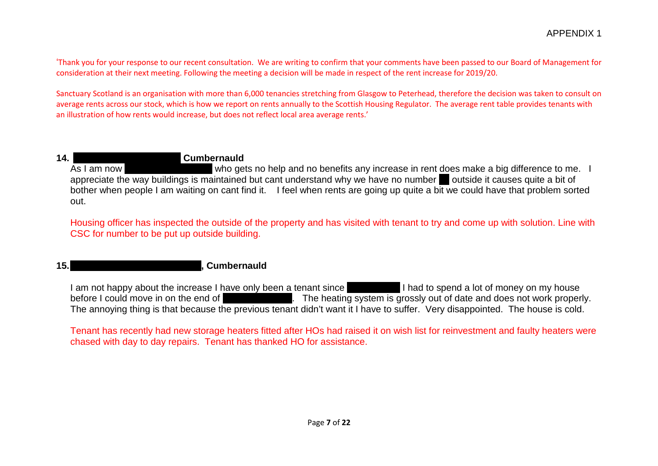'Thank you for your response to our recent consultation. We are writing to confirm that your comments have been passed to our Board of Management for consideration at their next meeting. Following the meeting a decision will be made in respect of the rent increase for 2019/20.

Sanctuary Scotland is an organisation with more than 6,000 tenancies stretching from Glasgow to Peterhead, therefore the decision was taken to consult on average rents across our stock, which is how we report on rents annually to the Scottish Housing Regulator. The average rent table provides tenants with an illustration of how rents would increase, but does not reflect local area average rents.'

**14. Allamanum Cumbernauld Road, Seafar, Seafar, Seafar, Seafar, Seafar, Seafar, Seafar, Seafar, Seafar, Seafar, Seafar, Seafar, Seafar, Seafar, Seafar, Seafar, Seafar, Seafar, Seafar, Seafar, Seafar, Seafar, Seafar, S** who gets no help and no benefits any increase in rent does make a big difference to me. I appreciate the way buildings is maintained but cant understand why we have no number outside it causes quite a bit of bother when people I am waiting on cant find it. I feel when rents are going up quite a bit we could have that problem sorted out.

Housing officer has inspected the outside of the property and has visited with tenant to try and come up with solution. Line with CSC for number to be put up outside building.

# **15. 15. 15. 15. 15. 15. 16. 16. 16. 16. 16. 16. 17. 17. 17. 17. 17. 17. 17. 17. 17. 17. 17. 17. 17. 17. 17. 17. 17. 17. 17. 17. 17. 17. 17. 17. 17.**

I am not happy about the increase I have only been a tenant since **August 2018 I had to spend a lot of money on my house** before I could move in on the end of September 2018. The heating system is grossly out of date and does not work properly. The annoying thing is that because the previous tenant didn't want it I have to suffer. Very disappointed. The house is cold.

Tenant has recently had new storage heaters fitted after HOs had raised it on wish list for reinvestment and faulty heaters were chased with day to day repairs. Tenant has thanked HO for assistance.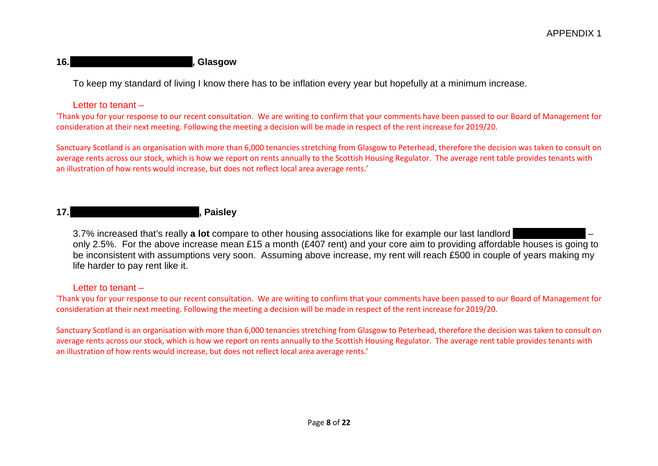# 16. Spencer Street, Annies and Annies Street, Ann ann ann ann ann an *inselection* and Annual Street, Annual Street, Annual Street, Annual Street, Annual Street, Annual Street, Annual Street, Annual Street, Annual Street,

To keep my standard of living I know there has to be inflation every year but hopefully at a minimum increase.

Letter to tenant –

'Thank you for your response to our recent consultation. We are writing to confirm that your comments have been passed to our Board of Management for consideration at their next meeting. Following the meeting a decision will be made in respect of the rent increase for 2019/20.

Sanctuary Scotland is an organisation with more than 6,000 tenancies stretching from Glasgow to Peterhead, therefore the decision was taken to consult on average rents across our stock, which is how we report on rents annually to the Scottish Housing Regulator. The average rent table provides tenants with an illustration of how rents would increase, but does not reflect local area average rents.'

# **17. 17. 17. 17. 17. 17. 18. 18. 18. 18. 18. 18. 18. 18. 18. 18. 18. 18. 18. 18. 18. 18. 18. 18. 18. 18. 18. 18. 18. 18. 18. 18. 18. 18. 18. 18. 18.**

3.7% increased that's really **a lot** compare to other housing associations like for example our last landlord only 2.5%. For the above increase mean £15 a month (£407 rent) and your core aim to providing affordable houses is going to be inconsistent with assumptions very soon. Assuming above increase, my rent will reach £500 in couple of years making my life harder to pay rent like it.

#### Letter to tenant –

'Thank you for your response to our recent consultation. We are writing to confirm that your comments have been passed to our Board of Management for consideration at their next meeting. Following the meeting a decision will be made in respect of the rent increase for 2019/20.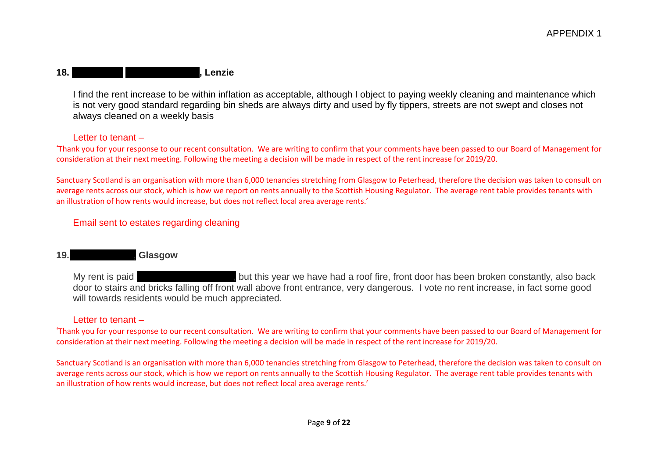# **18. Robinson – Stoneyetts Drive, Lenzie**

I find the rent increase to be within inflation as acceptable, although I object to paying weekly cleaning and maintenance which is not very good standard regarding bin sheds are always dirty and used by fly tippers, streets are not swept and closes not always cleaned on a weekly basis

#### Letter to tenant –

'Thank you for your response to our recent consultation. We are writing to confirm that your comments have been passed to our Board of Management for consideration at their next meeting. Following the meeting a decision will be made in respect of the rent increase for 2019/20.

Sanctuary Scotland is an organisation with more than 6,000 tenancies stretching from Glasgow to Peterhead, therefore the decision was taken to consult on average rents across our stock, which is how we report on rents annually to the Scottish Housing Regulator. The average rent table provides tenants with an illustration of how rents would increase, but does not reflect local area average rents.'

Email sent to estates regarding cleaning

# **19. Clasgow**

My rent is paid **direct by social security** but this year we have had a roof fire, front door has been broken constantly, also back door to stairs and bricks falling off front wall above front entrance, very dangerous. I vote no rent increase, in fact some good will towards residents would be much appreciated.

#### Letter to tenant –

'Thank you for your response to our recent consultation. We are writing to confirm that your comments have been passed to our Board of Management for consideration at their next meeting. Following the meeting a decision will be made in respect of the rent increase for 2019/20.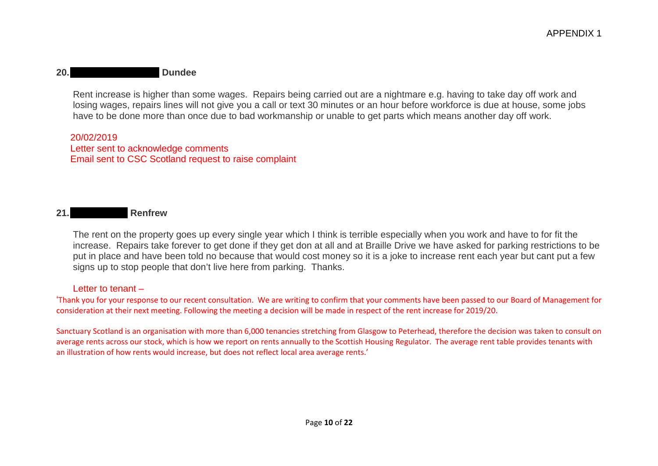# **20.Gleneagles Avenue, Dundee**

Rent increase is higher than some wages. Repairs being carried out are a nightmare e.g. having to take day off work and losing wages, repairs lines will not give you a call or text 30 minutes or an hour before workforce is due at house, some jobs have to be done more than once due to bad workmanship or unable to get parts which means another day off work.

20/02/2019 Letter sent to acknowledge comments Email sent to CSC Scotland request to raise complaint

### **21.Braille Road, Renfrew**

The rent on the property goes up every single year which I think is terrible especially when you work and have to for fit the increase. Repairs take forever to get done if they get don at all and at Braille Drive we have asked for parking restrictions to be put in place and have been told no because that would cost money so it is a joke to increase rent each year but cant put a few signs up to stop people that don't live here from parking. Thanks.

#### Letter to tenant –

'Thank you for your response to our recent consultation. We are writing to confirm that your comments have been passed to our Board of Management for consideration at their next meeting. Following the meeting a decision will be made in respect of the rent increase for 2019/20.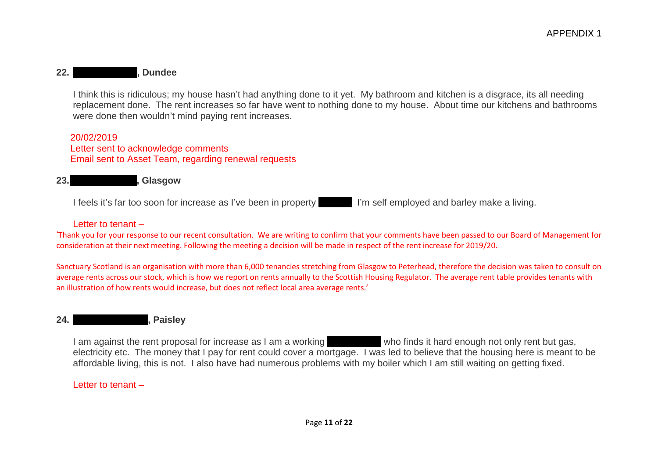### **22. Bundee**

I think this is ridiculous; my house hasn't had anything done to it yet. My bathroom and kitchen is a disgrace, its all needing replacement done. The rent increases so far have went to nothing done to my house. About time our kitchens and bathrooms were done then wouldn't mind paying rent increases.

20/02/2019 Letter sent to acknowledge comments Email sent to Asset Team, regarding renewal requests

23. Spencer Street, Glasgow

I feels it's far too soon for increase as I've been in property submittimes and barley make a living.

#### Letter to tenant –

'Thank you for your response to our recent consultation. We are writing to confirm that your comments have been passed to our Board of Management for consideration at their next meeting. Following the meeting a decision will be made in respect of the rent increase for 2019/20.

Sanctuary Scotland is an organisation with more than 6,000 tenancies stretching from Glasgow to Peterhead, therefore the decision was taken to consult on average rents across our stock, which is how we report on rents annually to the Scottish Housing Regulator. The average rent table provides tenants with an illustration of how rents would increase, but does not reflect local area average rents.'

#### **24. Dundon Dundon Road, Paisley**

I am against the rent proposal for increase as I am a working who finds it hard enough not only rent but gas, electricity etc. The money that I pay for rent could cover a mortgage. I was led to believe that the housing here is meant to be affordable living, this is not. I also have had numerous problems with my boiler which I am still waiting on getting fixed.

Letter to tenant –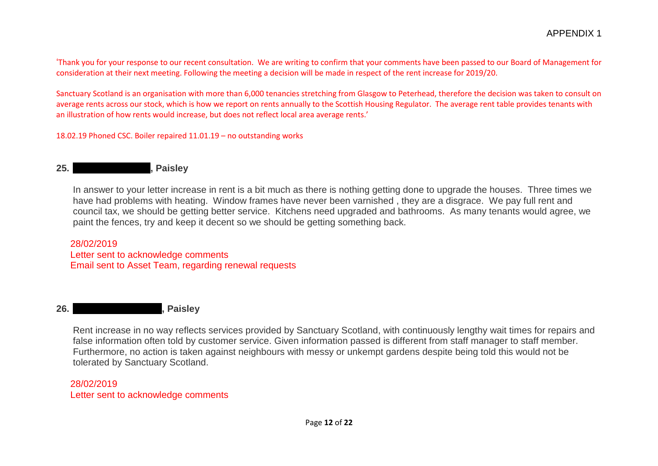'Thank you for your response to our recent consultation. We are writing to confirm that your comments have been passed to our Board of Management for consideration at their next meeting. Following the meeting a decision will be made in respect of the rent increase for 2019/20.

Sanctuary Scotland is an organisation with more than 6,000 tenancies stretching from Glasgow to Peterhead, therefore the decision was taken to consult on average rents across our stock, which is how we report on rents annually to the Scottish Housing Regulator. The average rent table provides tenants with an illustration of how rents would increase, but does not reflect local area average rents.'

18.02.19 Phoned CSC. Boiler repaired 11.01.19 – no outstanding works

#### **25. Galloway Avenue, Paisley**

In answer to your letter increase in rent is a bit much as there is nothing getting done to upgrade the houses. Three times we have had problems with heating. Window frames have never been varnished , they are a disgrace. We pay full rent and council tax, we should be getting better service. Kitchens need upgraded and bathrooms. As many tenants would agree, we paint the fences, try and keep it decent so we should be getting something back.

#### 28/02/2019 Letter sent to acknowledge comments Email sent to Asset Team, regarding renewal requests

#### **26. German Raisley**, Paisley

Rent increase in no way reflects services provided by Sanctuary Scotland, with continuously lengthy wait times for repairs and false information often told by customer service. Given information passed is different from staff manager to staff member. Furthermore, no action is taken against neighbours with messy or unkempt gardens despite being told this would not be tolerated by Sanctuary Scotland.

#### 28/02/2019 Letter sent to acknowledge comments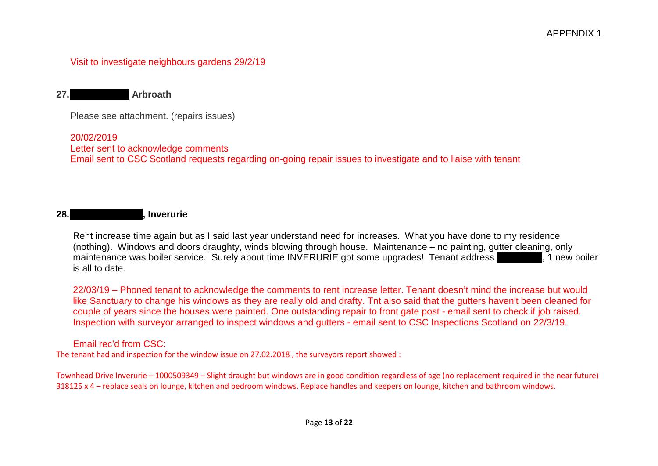Visit to investigate neighbours gardens 29/2/19

**27.Hunter Road, Arbroath**

Please see attachment. (repairs issues)

20/02/2019 Letter sent to acknowledge comments Email sent to CSC Scotland requests regarding on-going repair issues to investigate and to liaise with tenant

# **28.** The Drive Drive, Inverurie

Rent increase time again but as I said last year understand need for increases. What you have done to my residence (nothing). Windows and doors draughty, winds blowing through house. Maintenance – no painting, gutter cleaning, only maintenance was boiler service. Surely about time INVERURIE got some upgrades! Tenant address show that we holder is all to date.

22/03/19 – Phoned tenant to acknowledge the comments to rent increase letter. Tenant doesn't mind the increase but would like Sanctuary to change his windows as they are really old and drafty. Tnt also said that the gutters haven't been cleaned for couple of years since the houses were painted. One outstanding repair to front gate post - email sent to check if job raised. Inspection with surveyor arranged to inspect windows and gutters - email sent to CSC Inspections Scotland on 22/3/19.

Email rec'd from CSC:

The tenant had and inspection for the window issue on 27.02.2018 , the surveyors report showed :

Townhead Drive Inverurie – 1000509349 – Slight draught but windows are in good condition regardless of age (no replacement required in the near future) 318125 x 4 – replace seals on lounge, kitchen and bedroom windows. Replace handles and keepers on lounge, kitchen and bathroom windows.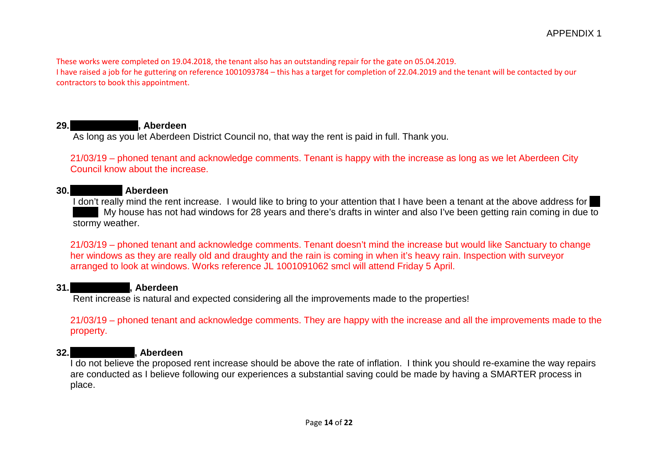These works were completed on 19.04.2018, the tenant also has an outstanding repair for the gate on 05.04.2019. I have raised a job for he guttering on reference 1001093784 – this has a target for completion of 22.04.2019 and the tenant will be contacted by our contractors to book this appointment.

### 29. **Aberdeen**

As long as you let Aberdeen District Council no, that way the rent is paid in full. Thank you.

21/03/19 – phoned tenant and acknowledge comments. Tenant is happy with the increase as long as we let Aberdeen City Council know about the increase.

#### **30.Moir Green, Aberdeen**

I don't really mind the rent increase. I would like to bring to your attention that I have been a tenant at the above address for My house has not had windows for 28 years and there's drafts in winter and also I've been getting rain coming in due to stormy weather.

21/03/19 – phoned tenant and acknowledge comments. Tenant doesn't mind the increase but would like Sanctuary to change her windows as they are really old and draughty and the rain is coming in when it's heavy rain. Inspection with surveyor arranged to look at windows. Works reference JL 1001091062 smcl will attend Friday 5 April.

#### **31.Eriskay Drive, Aberdeen**

Rent increase is natural and expected considering all the improvements made to the properties!

21/03/19 – phoned tenant and acknowledge comments. They are happy with the increase and all the improvements made to the property.

# **32. Aberdeen**

I do not believe the proposed rent increase should be above the rate of inflation. I think you should re-examine the way repairs are conducted as I believe following our experiences a substantial saving could be made by having a SMARTER process in place.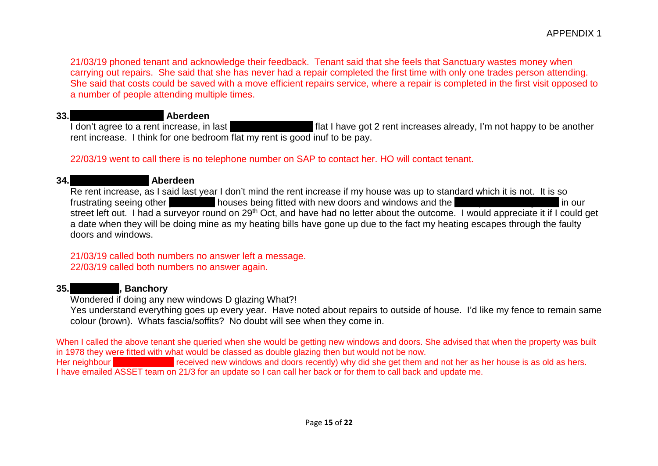21/03/19 phoned tenant and acknowledge their feedback. Tenant said that she feels that Sanctuary wastes money when carrying out repairs. She said that she has never had a repair completed the first time with only one trades person attending. She said that costs could be saved with a move efficient repairs service, where a repair is completed in the first visit opposed to a number of people attending multiple times.

# **33.Pitmedden Crescent, Aberdeen**

I don't agree to a rent increase, in last in this flat I have got 2 rent increases already, I'm not happy to be another rent increase. I think for one bedroom flat my rent is good inuf to be pay.

### 22/03/19 went to call there is no telephone number on SAP to contact her. HO will contact tenant.

#### **34.Inchbrae Terrace, Aberdeen**

Re rent increase, as I said last year I don't mind the rent increase if my house was up to standard which it is not. It is so frustrating seeing other **performance houses being fitted with new doors and windows and the pension bungalows in our** street left out. I had a surveyor round on 29<sup>th</sup> Oct, and have had no letter about the outcome. I would appreciate it if I could get a date when they will be doing mine as my heating bills have gone up due to the fact my heating escapes through the faulty doors and windows.

### 21/03/19 called both numbers no answer left a message. 22/03/19 called both numbers no answer again.

#### **35. Glebe Ranchory**

Wondered if doing any new windows D glazing What?!

Yes understand everything goes up every year. Have noted about repairs to outside of house. I'd like my fence to remain same colour (brown). Whats fascia/soffits? No doubt will see when they come in.

When I called the above tenant she queried when she would be getting new windows and doors. She advised that when the property was built in 1978 they were fitted with what would be classed as double glazing then but would not be now. Her neighbour **Example Park)** received new windows and doors recently) why did she get them and not her as her house is as old as hers. I have emailed ASSET team on 21/3 for an update so I can call her back or for them to call back and update me.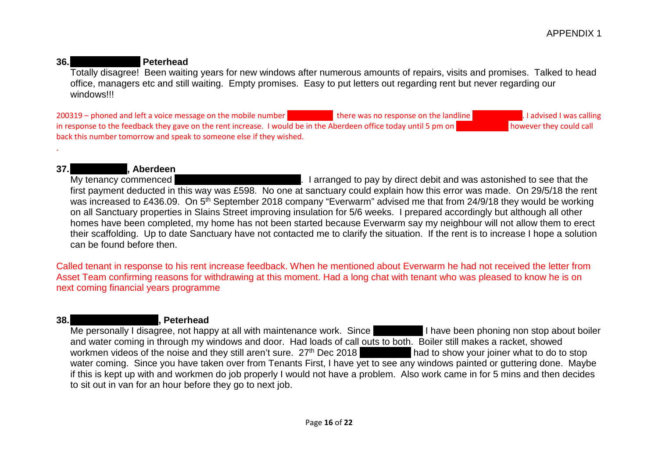#### **36.Lochside Road, Peterhead**

Totally disagree! Been waiting years for new windows after numerous amounts of repairs, visits and promises. Talked to head office, managers etc and still waiting. Empty promises. Easy to put letters out regarding rent but never regarding our windows!!!

200319 – phoned and left a voice message on the mobile number there was no response on the landline **1778 100260**. I advised I was calling in response to the feedback they gave on the rent increase. I would be in the Aberdeen office today until 5 pm on **1224 3836** however they could call back this number tomorrow and speak to someone else if they wished.

# **37. My tenancy commenced**

. I arranged to pay by direct debit and was astonished to see that the first payment deducted in this way was £598. No one at sanctuary could explain how this error was made. On 29/5/18 the rent was increased to £436.09. On 5<sup>th</sup> September 2018 company "Everwarm" advised me that from 24/9/18 they would be working on all Sanctuary properties in Slains Street improving insulation for 5/6 weeks. I prepared accordingly but although all other homes have been completed, my home has not been started because Everwarm say my neighbour will not allow them to erect their scaffolding. Up to date Sanctuary have not contacted me to clarify the situation. If the rent is to increase I hope a solution can be found before then.

Called tenant in response to his rent increase feedback. When he mentioned about Everwarm he had not received the letter from Asset Team confirming reasons for withdrawing at this moment. Had a long chat with tenant who was pleased to know he is on next coming financial years programme

.

#### **38.** Springbank Terrace, Peterhead

Me personally I disagree, not happy at all with maintenance work. Since I have been phoning non stop about boiler and water coming in through my windows and door. Had loads of call outs to both. Boiler still makes a racket, showed workmen videos of the noise and they still aren't sure.  $27<sup>th</sup>$  Dec 2018 must had to show your joiner what to do to stop water coming. Since you have taken over from Tenants First, I have yet to see any windows painted or guttering done. Maybe if this is kept up with and workmen do job properly I would not have a problem. Also work came in for 5 mins and then decides to sit out in van for an hour before they go to next job.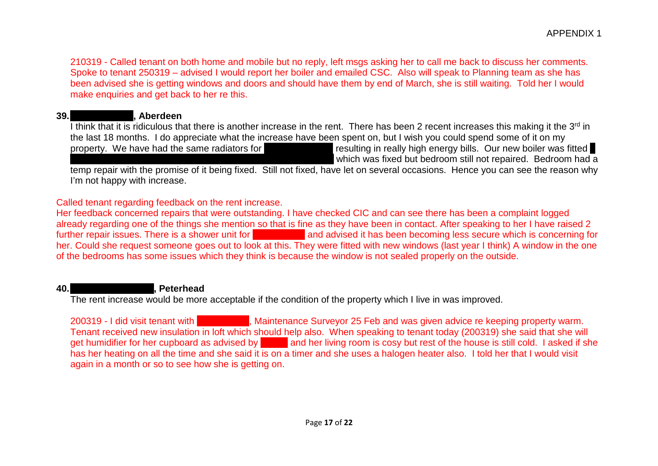210319 - Called tenant on both home and mobile but no reply, left msgs asking her to call me back to discuss her comments. Spoke to tenant 250319 – advised I would report her boiler and emailed CSC. Also will speak to Planning team as she has been advised she is getting windows and doors and should have them by end of March, she is still waiting. Told her I would make enquiries and get back to her re this.

# **39.Gaitside Drive, Aberdeen**

I think that it is ridiculous that there is another increase in the rent. There has been 2 recent increases this making it the 3<sup>rd</sup> in the last 18 months. I do appreciate what the increase have been spent on, but I wish you could spend some of it on my

property. We have had the same radiators for **the last 30 years resulting in really high energy bills. Our new boiler was fitted** which was fixed but bedroom still not repaired. Bedroom had a

temp repair with the promise of it being fixed. Still not fixed, have let on several occasions. Hence you can see the reason why I'm not happy with increase.

# Called tenant regarding feedback on the rent increase.

Her feedback concerned repairs that were outstanding. I have checked CIC and can see there has been a complaint logged already regarding one of the things she mention so that is fine as they have been in contact. After speaking to her I have raised 2 further repair issues. There is a shower unit for **her having and advised it has been becoming less secure which is concerning for** her. Could she request someone goes out to look at this. They were fitted with new windows (last year I think) A window in the one of the bedrooms has some issues which they think is because the window is not sealed properly on the outside.

# **40.** Green Street, Peterhead

The rent increase would be more acceptable if the condition of the property which I live in was improved.

200319 - I did visit tenant with Shaun Craig, Maintenance Surveyor 25 Feb and was given advice re keeping property warm. Tenant received new insulation in loft which should help also. When speaking to tenant today (200319) she said that she will get humidifier for her cupboard as advised by shanged and her living room is cosy but rest of the house is still cold. I asked if she has her heating on all the time and she said it is on a timer and she uses a halogen heater also. I told her that I would visit again in a month or so to see how she is getting on.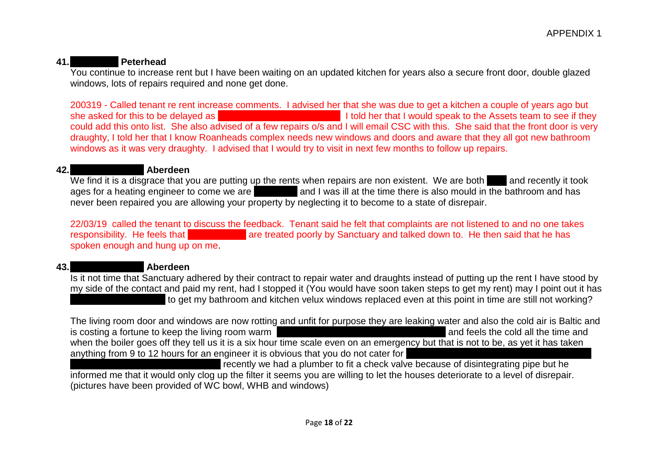### **41.Peterhead**

You continue to increase rent but I have been waiting on an updated kitchen for years also a secure front door, double glazed windows, lots of repairs required and none get done.

200319 - Called tenant re rent increase comments. I advised her that she was due to get a kitchen a couple of years ago but she asked for this to be delayed as I told her that I would speak to the Assets team to see if they could add this onto list. She also advised of a few repairs o/s and I will email CSC with this. She said that the front door is very draughty, I told her that I know Roanheads complex needs new windows and doors and aware that they all got new bathroom windows as it was very draughty. I advised that I would try to visit in next few months to follow up repairs.

#### **42.Aboyne Terrace, Aberdeen**

We find it is a disgrace that you are putting up the rents when repairs are non existent. We are both and recently it took ages for a heating engineer to come we are **in and I was ill at the time there is also mould in the bathroom and has** never been repaired you are allowing your property by neglecting it to become to a state of disrepair.

22/03/19 called the tenant to discuss the feedback. Tenant said he felt that complaints are not listened to and no one takes responsibility. He feels that electronic performance are treated poorly by Sanctuary and talked down to. He then said that he has spoken enough and hung up on me.

#### **43.Aberdeen**

Is it not time that Sanctuary adhered by their contract to repair water and draughts instead of putting up the rent I have stood by my side of the contact and paid my rent, had I stopped it (You would have soon taken steps to get my rent) may I point out it has to get my bathroom and kitchen velux windows replaced even at this point in time are still not working?

The living room door and windows are now rotting and unfit for purpose they are leaking water and also the cold air is Baltic and is costing a fortune to keep the living room warm Mrs Gray is on ware and and feels the cold all the time and when the boiler goes off they tell us it is a six hour time scale even on an emergency but that is not to be, as yet it has taken anything from 9 to 12 hours for an engineer it is obvious that you do not cater for

recently we had a plumber to fit a check valve because of disintegrating pipe but he informed me that it would only clog up the filter it seems you are willing to let the houses deteriorate to a level of disrepair. (pictures have been provided of WC bowl, WHB and windows)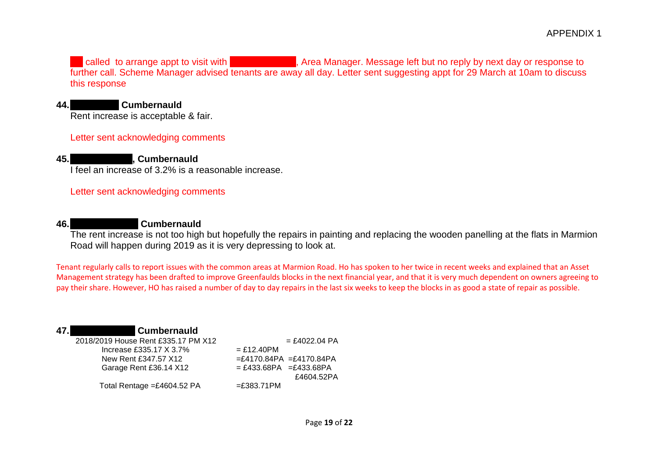called to arrange appt to visit with Gargettson, Area Manager. Message left but no reply by next day or response to further call. Scheme Manager advised tenants are away all day. Letter sent suggesting appt for 29 March at 10am to discuss this response

### **44.Kyle Road, Cumbernauld**

Rent increase is acceptable & fair.

#### Letter sent acknowledging comments

### **45.**Flexible Road, Cumbernauld

I feel an increase of 3.2% is a reasonable increase.

Letter sent acknowledging comments

#### **46.Marmion Road, Cumbernauld**

The rent increase is not too high but hopefully the repairs in painting and replacing the wooden panelling at the flats in Marmion Road will happen during 2019 as it is very depressing to look at.

Tenant regularly calls to report issues with the common areas at Marmion Road. Ho has spoken to her twice in recent weeks and explained that an Asset Management strategy has been drafted to improve Greenfaulds blocks in the next financial year, and that it is very much dependent on owners agreeing to pay their share. However, HO has raised a number of day to day repairs in the last six weeks to keep the blocks in as good a state of repair as possible.

# **47.**Flexible results and  $\mathbf{C}$ umbernauld

 $2018/2019$  House Rent £335.17 PM X12  $= f4022.04$  PA  $Increase £335.17 X 3.7% = £12.40PM$ New Rent £347.57 X12  $=£4170.84PA$  =£4170.84PA Garage Rent £36.14 X12  $= £433.68PA = £433.68PA$  £4604.52PA Total Rentage = $£4604.52$  PA  $=£383.71$  PM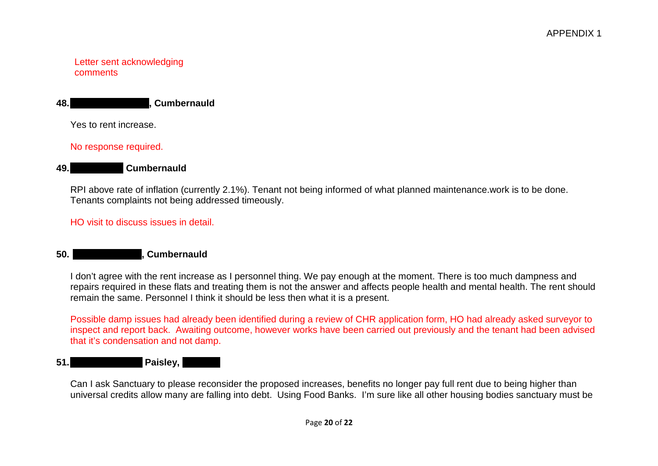#### Letter sent acknowledging comments

Yes to rent increase.

#### No response required.

#### **49. Cumbernauld**

RPI above rate of inflation (currently 2.1%). Tenant not being informed of what planned maintenance.work is to be done. Tenants complaints not being addressed timeously.

HO visit to discuss issues in detail.

#### **50. Cumbernauld**

I don't agree with the rent increase as I personnel thing. We pay enough at the moment. There is too much dampness and repairs required in these flats and treating them is not the answer and affects people health and mental health. The rent should remain the same. Personnel I think it should be less then what it is a present.

Possible damp issues had already been identified during a review of CHR application form, HO had already asked surveyor to inspect and report back. Awaiting outcome, however works have been carried out previously and the tenant had been advised that it's condensation and not damp.

# **51.** Paisley,

Can I ask Sanctuary to please reconsider the proposed increases, benefits no longer pay full rent due to being higher than universal credits allow many are falling into debt. Using Food Banks. I'm sure like all other housing bodies sanctuary must be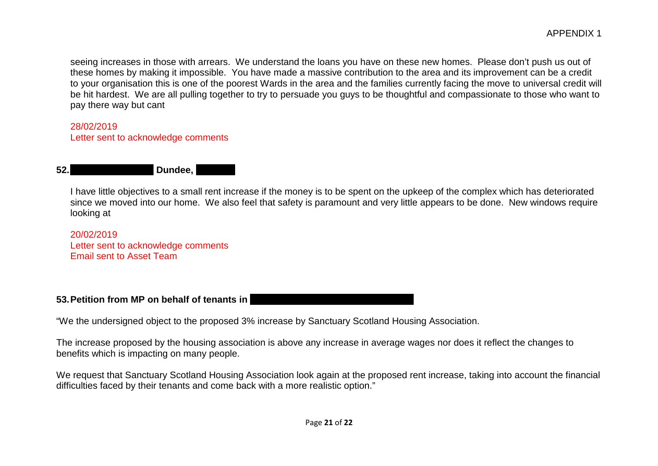seeing increases in those with arrears. We understand the loans you have on these new homes. Please don't push us out of these homes by making it impossible. You have made a massive contribution to the area and its improvement can be a credit to your organisation this is one of the poorest Wards in the area and the families currently facing the move to universal credit will be hit hardest. We are all pulling together to try to persuade you guys to be thoughtful and compassionate to those who want to pay there way but cant

#### 28/02/2019

Letter sent to acknowledge comments

### **52. Dundee, Dundee, Dundee, Dundee,**  $\blacksquare$

I have little objectives to a small rent increase if the money is to be spent on the upkeep of the complex which has deteriorated since we moved into our home. We also feel that safety is paramount and very little appears to be done. New windows require looking at

20/02/2019 Letter sent to acknowledge comments Email sent to Asset Team

# **53. Petition from MP on behalf of tenants in**

"We the undersigned object to the proposed 3% increase by Sanctuary Scotland Housing Association.

The increase proposed by the housing association is above any increase in average wages nor does it reflect the changes to benefits which is impacting on many people.

We request that Sanctuary Scotland Housing Association look again at the proposed rent increase, taking into account the financial difficulties faced by their tenants and come back with a more realistic option."